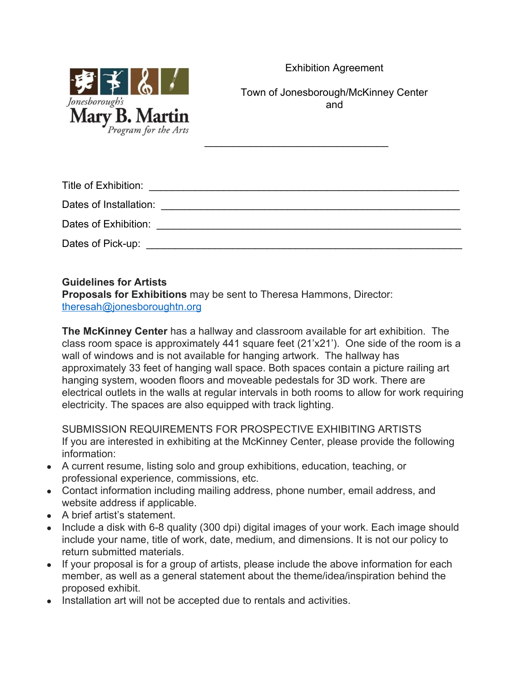Exhibition Agreement



Town of Jonesborough/McKinney Center and

 $\_$ 

| Title of Exhibition:   |  |
|------------------------|--|
| Dates of Installation: |  |
| Dates of Exhibition:   |  |
| Dates of Pick-up:      |  |

# **Guidelines for Artists**

**Proposals for Exhibitions** may be sent to Theresa Hammons, Director: [theresah@jonesboroughtn.org](mailto:theresah@jonesboroughtn.org)

**The McKinney Center** has a hallway and classroom available for art exhibition. The class room space is approximately 441 square feet (21'x21'). One side of the room is a wall of windows and is not available for hanging artwork. The hallway has approximately 33 feet of hanging wall space. Both spaces contain a picture railing art hanging system, wooden floors and moveable pedestals for 3D work. There are electrical outlets in the walls at regular intervals in both rooms to allow for work requiring electricity. The spaces are also equipped with track lighting.

SUBMISSION REQUIREMENTS FOR PROSPECTIVE EXHIBITING ARTISTS If you are interested in exhibiting at the McKinney Center, please provide the following information:

- A current resume, listing solo and group exhibitions, education, teaching, or professional experience, commissions, etc.
- Contact information including mailing address, phone number, email address, and website address if applicable.
- A brief artist's statement.
- Include a disk with 6-8 quality (300 dpi) digital images of your work. Each image should include your name, title of work, date, medium, and dimensions. It is not our policy to return submitted materials.
- If your proposal is for a group of artists, please include the above information for each member, as well as a general statement about the theme/idea/inspiration behind the proposed exhibit.
- Installation art will not be accepted due to rentals and activities.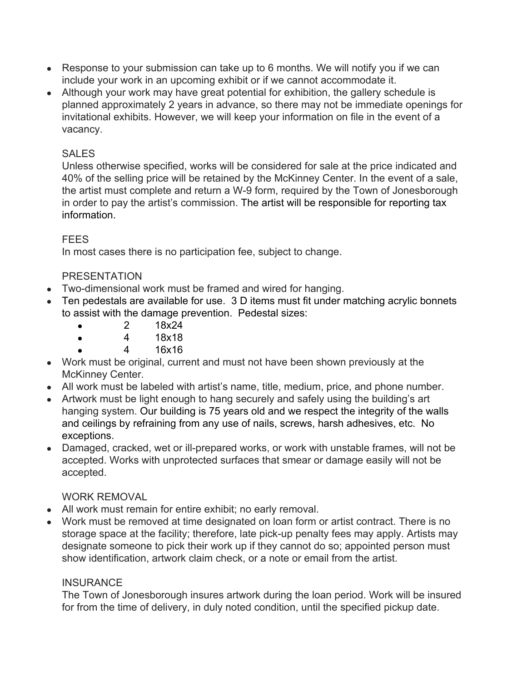- Response to your submission can take up to 6 months. We will notify you if we can include your work in an upcoming exhibit or if we cannot accommodate it.
- Although your work may have great potential for exhibition, the gallery schedule is planned approximately 2 years in advance, so there may not be immediate openings for invitational exhibits. However, we will keep your information on file in the event of a vacancy.

### SALES

Unless otherwise specified, works will be considered for sale at the price indicated and 40% of the selling price will be retained by the McKinney Center. In the event of a sale, the artist must complete and return a W-9 form, required by the Town of Jonesborough in order to pay the artist's commission. The artist will be responsible for reporting tax information.

### **FEES**

In most cases there is no participation fee, subject to change.

### PRESENTATION

- Two-dimensional work must be framed and wired for hanging.
- Ten pedestals are available for use. 3 D items must fit under matching acrylic bonnets to assist with the damage prevention. Pedestal sizes:
	- 2 18x24
	- 4 18x18
		- 4 16x16
- Work must be original, current and must not have been shown previously at the McKinney Center.
- All work must be labeled with artist's name, title, medium, price, and phone number.
- Artwork must be light enough to hang securely and safely using the building's art hanging system. Our building is 75 years old and we respect the integrity of the walls and ceilings by refraining from any use of nails, screws, harsh adhesives, etc. No exceptions.
- Damaged, cracked, wet or ill-prepared works, or work with unstable frames, will not be accepted. Works with unprotected surfaces that smear or damage easily will not be accepted.

# WORK REMOVAL

- All work must remain for entire exhibit; no early removal.
- Work must be removed at time designated on loan form or artist contract. There is no storage space at the facility; therefore, late pick-up penalty fees may apply. Artists may designate someone to pick their work up if they cannot do so; appointed person must show identification, artwork claim check, or a note or email from the artist.

#### **INSURANCE**

The Town of Jonesborough insures artwork during the loan period. Work will be insured for from the time of delivery, in duly noted condition, until the specified pickup date.